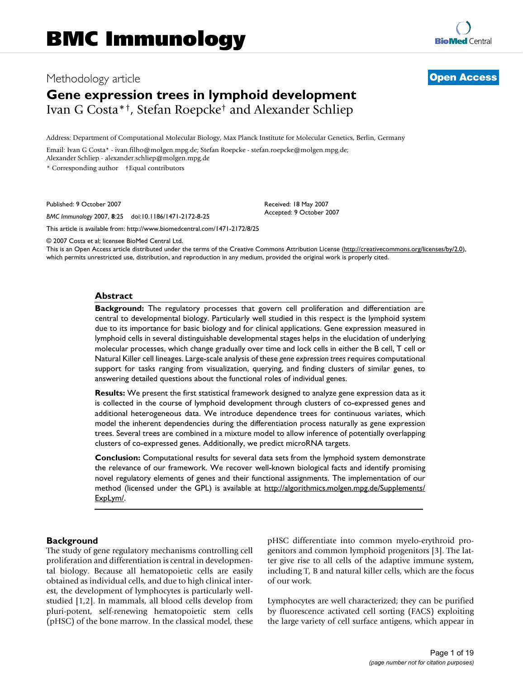# Methodology article **Open Access**

# **Gene expression trees in lymphoid development** Ivan G Costa\*†, Stefan Roepcke† and Alexander Schliep

Address: Department of Computational Molecular Biology, Max Planck Institute for Molecular Genetics, Berlin, Germany

Email: Ivan G Costa\* - ivan.filho@molgen.mpg.de; Stefan Roepcke - stefan.roepcke@molgen.mpg.de; Alexander Schliep - alexander.schliep@molgen.mpg.de \* Corresponding author †Equal contributors

Published: 9 October 2007

*BMC Immunology* 2007, **8**:25 doi:10.1186/1471-2172-8-25

This article is available from: http://www.biomedcentral.com/1471-2172/8/25

© 2007 Costa et al; licensee BioMed Central Ltd.

This is an Open Access article distributed under the terms of the Creative Commons Attribution License (http://creativecommons.org/licenses/by/2.0), which permits unrestricted use, distribution, and reproduction in any medium, provided the original work is properly cited.

#### **Abstract**

**Background:** The regulatory processes that govern cell proliferation and differentiation are central to developmental biology. Particularly well studied in this respect is the lymphoid system due to its importance for basic biology and for clinical applications. Gene expression measured in lymphoid cells in several distinguishable developmental stages helps in the elucidation of underlying molecular processes, which change gradually over time and lock cells in either the B cell, T cell or Natural Killer cell lineages. Large-scale analysis of these *gene expression trees* requires computational support for tasks ranging from visualization, querying, and finding clusters of similar genes, to answering detailed questions about the functional roles of individual genes.

**Results:** We present the first statistical framework designed to analyze gene expression data as it is collected in the course of lymphoid development through clusters of co-expressed genes and additional heterogeneous data. We introduce dependence trees for continuous variates, which model the inherent dependencies during the differentiation process naturally as gene expression trees. Several trees are combined in a mixture model to allow inference of potentially overlapping clusters of co-expressed genes. Additionally, we predict microRNA targets.

**Conclusion:** Computational results for several data sets from the lymphoid system demonstrate the relevance of our framework. We recover well-known biological facts and identify promising novel regulatory elements of genes and their functional assignments. The implementation of our method (licensed under the GPL) is available at http://algorithmics.molgen.mpg.de/Supplements/ ExpLym/.

#### **Background**

The study of gene regulatory mechanisms controlling cell proliferation and differentiation is central in developmental biology. Because all hematopoietic cells are easily obtained as individual cells, and due to high clinical interest, the development of lymphocytes is particularly wellstudied [1,2]. In mammals, all blood cells develop from pluri-potent, self-renewing hematopoietic stem cells (pHSC) of the bone marrow. In the classical model, these pHSC differentiate into common myelo-erythroid progenitors and common lymphoid progenitors [3]. The latter give rise to all cells of the adaptive immune system, including T, B and natural killer cells, which are the focus of our work.

Lymphocytes are well characterized; they can be purified by fluorescence activated cell sorting (FACS) exploiting the large variety of cell surface antigens, which appear in

Received: 18 May 2007 Accepted: 9 October 2007

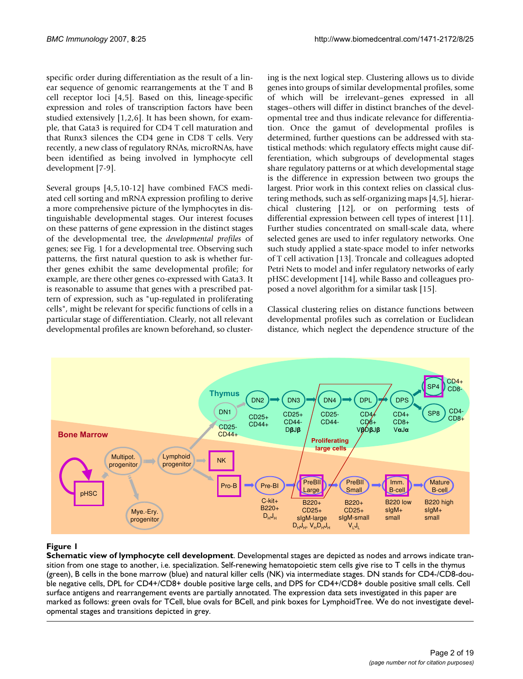specific order during differentiation as the result of a linear sequence of genomic rearrangements at the T and B cell receptor loci [4,5]. Based on this, lineage-specific expression and roles of transcription factors have been studied extensively [1,2,6]. It has been shown, for example, that Gata3 is required for CD4 T cell maturation and that Runx3 silences the CD4 gene in CD8 T cells. Very recently, a new class of regulatory RNAs, microRNAs, have been identified as being involved in lymphocyte cell development [7-9].

Several groups [4,5,10-12] have combined FACS mediated cell sorting and mRNA expression profiling to derive a more comprehensive picture of the lymphocytes in distinguishable developmental stages. Our interest focuses on these patterns of gene expression in the distinct stages of the developmental tree, the *developmental profiles* of genes; see Fig. 1 for a developmental tree. Observing such patterns, the first natural question to ask is whether further genes exhibit the same developmental profile; for example, are there other genes co-expressed with Gata3. It is reasonable to assume that genes with a prescribed pattern of expression, such as "up-regulated in proliferating cells", might be relevant for specific functions of cells in a particular stage of differentiation. Clearly, not all relevant developmental profiles are known beforehand, so clustering is the next logical step. Clustering allows us to divide genes into groups of similar developmental profiles, some of which will be irrelevant–genes expressed in all stages–others will differ in distinct branches of the developmental tree and thus indicate relevance for differentiation. Once the gamut of developmental profiles is determined, further questions can be addressed with statistical methods: which regulatory effects might cause differentiation, which subgroups of developmental stages share regulatory patterns or at which developmental stage is the difference in expression between two groups the largest. Prior work in this context relies on classical clustering methods, such as self-organizing maps [4,5], hierarchical clustering [12], or on performing tests of differential expression between cell types of interest [11]. Further studies concentrated on small-scale data, where selected genes are used to infer regulatory networks. One such study applied a state-space model to infer networks of T cell activation [13]. Troncale and colleagues adopted Petri Nets to model and infer regulatory networks of early pHSC development [14], while Basso and colleagues proposed a novel algorithm for a similar task [15].

Classical clustering relies on distance functions between developmental profiles such as correlation or Euclidean distance, which neglect the dependence structure of the



# **Figure 1**

**Schematic view of lymphocyte cell development**. Developmental stages are depicted as nodes and arrows indicate transition from one stage to another, i.e. specialization. Self-renewing hematopoietic stem cells give rise to T cells in the thymus (green), B cells in the bone marrow (blue) and natural killer cells (NK) via intermediate stages. DN stands for CD4-/CD8-double negative cells, DPL for CD4+/CD8+ double positive large cells, and DPS for CD4+/CD8+ double positive small cells. Cell surface antigens and rearrangement events are partially annotated. The expression data sets investigated in this paper are marked as follows: green ovals for TCell, blue ovals for BCell, and pink boxes for LymphoidTree. We do not investigate developmental stages and transitions depicted in grey.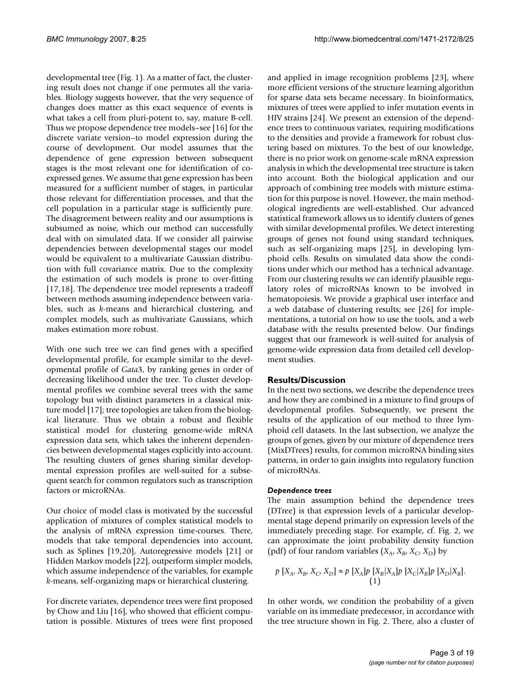developmental tree (Fig. 1). As a matter of fact, the clustering result does not change if one permutes all the variables. Biology suggests however, that the very sequence of changes does matter as this exact sequence of events is what takes a cell from pluri-potent to, say, mature B-cell. Thus we propose dependence tree models–see [16] for the discrete variate version–to model expression during the course of development. Our model assumes that the dependence of gene expression between subsequent stages is the most relevant one for identification of coexpressed genes. We assume that gene expression has been measured for a sufficient number of stages, in particular those relevant for differentiation processes, and that the cell population in a particular stage is sufficiently pure. The disagreement between reality and our assumptions is subsumed as noise, which our method can successfully deal with on simulated data. If we consider all pairwise dependencies between developmental stages our model would be equivalent to a multivariate Gaussian distribution with full covariance matrix. Due to the complexity the estimation of such models is prone to over-fitting [17,18]. The dependence tree model represents a tradeoff between methods assuming independence between variables, such as *k*-means and hierarchical clustering, and complex models, such as multivariate Gaussians, which makes estimation more robust.

With one such tree we can find genes with a specified developmental profile, for example similar to the developmental profile of *Gata*3, by ranking genes in order of decreasing likelihood under the tree. To cluster developmental profiles we combine several trees with the same topology but with distinct parameters in a classical mixture model [17]; tree topologies are taken from the biological literature. Thus we obtain a robust and flexible statistical model for clustering genome-wide mRNA expression data sets, which takes the inherent dependencies between developmental stages explicitly into account. The resulting clusters of genes sharing similar developmental expression profiles are well-suited for a subsequent search for common regulators such as transcription factors or microRNAs.

Our choice of model class is motivated by the successful application of mixtures of complex statistical models to the analysis of mRNA expression time-courses. There, models that take temporal dependencies into account, such as Splines [19,20], Autoregressive models [21] or Hidden Markov models [22], outperform simpler models, which assume independence of the variables, for example *k*-means, self-organizing maps or hierarchical clustering.

For discrete variates, dependence trees were first proposed by Chow and Liu [16], who showed that efficient computation is possible. Mixtures of trees were first proposed

and applied in image recognition problems [23], where more efficient versions of the structure learning algorithm for sparse data sets became necessary. In bioinformatics, mixtures of trees were applied to infer mutation events in HIV strains [24]. We present an extension of the dependence trees to continuous variates, requiring modifications to the densities and provide a framework for robust clustering based on mixtures. To the best of our knowledge, there is no prior work on genome-scale mRNA expression analysis in which the developmental tree structure is taken into account. Both the biological application and our approach of combining tree models with mixture estimation for this purpose is novel. However, the main methodological ingredients are well-established. Our advanced statistical framework allows us to identify clusters of genes with similar developmental profiles. We detect interesting groups of genes not found using standard techniques, such as self-organizing maps [25], in developing lymphoid cells. Results on simulated data show the conditions under which our method has a technical advantage. From our clustering results we can identify plausible regulatory roles of microRNAs known to be involved in hematopoiesis. We provide a graphical user interface and a web database of clustering results; see [26] for implementations, a tutorial on how to use the tools, and a web database with the results presented below. Our findings suggest that our framework is well-suited for analysis of genome-wide expression data from detailed cell development studies.

# **Results/Discussion**

In the next two sections, we describe the dependence trees and how they are combined in a mixture to find groups of developmental profiles. Subsequently, we present the results of the application of our method to three lymphoid cell datasets. In the last subsection, we analyze the groups of genes, given by our mixture of dependence trees (MixDTrees) results, for common microRNA binding sites patterns, in order to gain insights into regulatory function of microRNAs.

### *Dependence trees*

The main assumption behind the dependence trees (DTree) is that expression levels of a particular developmental stage depend primarily on expression levels of the immediately preceding stage. For example, cf. Fig. 2, we can approximate the joint probability density function (pdf) of four random variables  $(X_A, X_B, X_C, X_D)$  by

$$
p [X_A, X_B, X_C, X_D] \approx p [X_A] p [X_B | X_A] p [X_C | X_B] p [X_D | X_B].
$$
  
(1)

In other words, we condition the probability of a given variable on its immediate predecessor, in accordance with the tree structure shown in Fig. 2. There, also a cluster of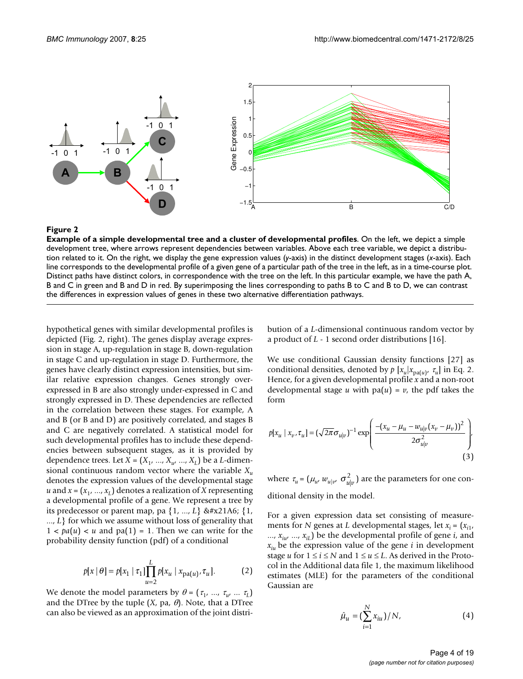

#### Example of a simple developmental tree and a cluster of developmental profiles **Figure 2**

**Example of a simple developmental tree and a cluster of developmental profiles**. On the left, we depict a simple development tree, where arrows represent dependencies between variables. Above each tree variable, we depict a distribution related to it. On the right, we display the gene expression values (*y*-axis) in the distinct development stages (*x*-axis). Each line corresponds to the developmental profile of a given gene of a particular path of the tree in the left, as in a time-course plot. Distinct paths have distinct colors, in correspondence with the tree on the left. In this particular example, we have the path A, B and C in green and B and D in red. By superimposing the lines corresponding to paths B to C and B to D, we can contrast the differences in expression values of genes in these two alternative differentiation pathways.

hypothetical genes with similar developmental profiles is depicted (Fig. 2, right). The genes display average expression in stage A, up-regulation in stage B, down-regulation in stage C and up-regulation in stage D. Furthermore, the genes have clearly distinct expression intensities, but similar relative expression changes. Genes strongly overexpressed in B are also strongly under-expressed in C and strongly expressed in D. These dependencies are reflected in the correlation between these stages. For example, A and B (or B and D) are positively correlated, and stages B and C are negatively correlated. A statistical model for such developmental profiles has to include these dependencies between subsequent stages, as it is provided by dependence trees. Let  $X = (X_1, ..., X_u, ..., X_L)$  be a *L*-dimensional continuous random vector where the variable  $X_u$ denotes the expression values of the developmental stage *u* and  $x = (x_1, ..., x_L)$  denotes a realization of *X* representing a developmental profile of a gene. We represent a tree by its predecessor or parent map, pa  $\{1, ..., L\}$  ↦  $\{1,$ ..., *L*} for which we assume without loss of generality that  $1 < pa(u) < u$  and  $pa(1) = 1$ . Then we can write for the probability density function (pdf) of a conditional

$$
p[x | \theta] = p[x_1 | \tau_1] \prod_{u=2}^{L} p[x_u | x_{pa(u)}, \tau_u].
$$
 (2)

We denote the model parameters by  $\theta = (\tau_1, ..., \tau_u, ..., \tau_L)$ and the DTree by the tuple  $(X, p a, \theta)$ . Note, that a DTree can also be viewed as an approximation of the joint distribution of a *L*-dimensional continuous random vector by a product of *L* - 1 second order distributions [16].

We use conditional Gaussian density functions [27] as conditional densities, denoted by  $p [x_u | x_{\text{na}(u)}, \tau_u]$  in Eq. 2. Hence, for a given developmental profile *x* and a non-root developmental stage *u* with  $pa(u) = v$ , the pdf takes the form

$$
p[x_u \mid x_v, \tau_u] = (\sqrt{2\pi} \sigma_{u|v})^{-1} \exp\left(\frac{-(x_u - \mu_u - w_{u|v}(x_v - \mu_v))^2}{2\sigma_{u|v}^2}\right)
$$
(3)

where  $\tau_u = (\mu_u, w_{u|v}, \sigma_{u|v}^2)$  are the parameters for one conditional density in the model.

For a given expression data set consisting of measurements for *N* genes at *L* developmental stages, let  $x_i = (x_{i1},$ ...,  $x_{iu}$ , ...,  $x_{iL}$ ) be the developmental profile of gene *i*, and  $x_{iu}$  be the expression value of the gene  $i$  in development stage *u* for  $1 \le i \le N$  and  $1 \le u \le L$ . As derived in the Protocol in the Additional data file 1, the maximum likelihood estimates (MLE) for the parameters of the conditional Gaussian are

$$
\hat{\mu}_u = (\sum_{i=1}^N x_{iu})/N,
$$
\n(4)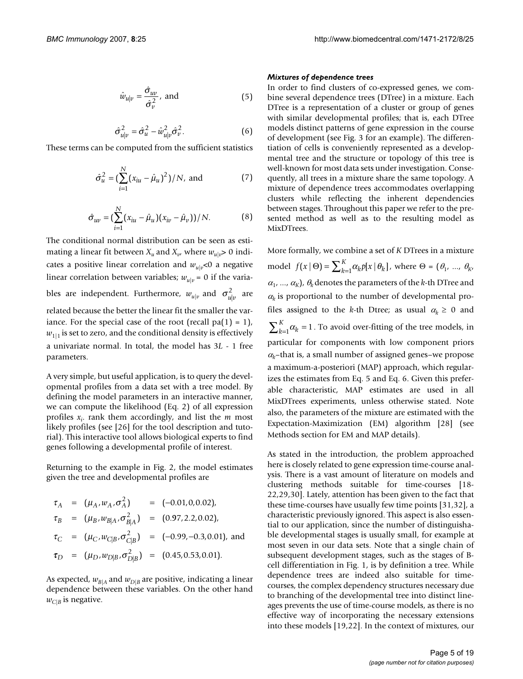$$
\hat{w}_{u|v} = \frac{\hat{\sigma}_{uv}}{\hat{\sigma}_v^2}, \text{ and } \tag{5}
$$

$$
\hat{\sigma}_{u|v}^2 = \hat{\sigma}_u^2 - \hat{w}_{u|v}^2 \hat{\sigma}_v^2.
$$
 (6)

These terms can be computed from the sufficient statistics

$$
\hat{\sigma}_u^2 = \left(\sum_{i=1}^N (x_{iu} - \hat{\mu}_u)^2\right) / N, \text{ and } (7)
$$

$$
\hat{\sigma}_{uv} = \left(\sum_{i=1}^{N} (x_{iu} - \hat{\mu}_u)(x_{iv} - \hat{\mu}_v)\right) / N. \tag{8}
$$

The conditional normal distribution can be seen as estimating a linear fit between  $X_u$  and  $X_v$ , where  $w_{u|v} > 0$  indicates a positive linear correlation and  $w_{u|v}$ <0 a negative linear correlation between variables;  $w_{u|v} = 0$  if the variables are independent. Furthermore,  $w_{u|v}$  and  $\sigma_{u|v}^2$  are related because the better the linear fit the smaller the variance. For the special case of the root (recall pa $(1) = 1$ ),  $w_{1|1}$  is set to zero, and the conditional density is effectively a univariate normal. In total, the model has 3*L* - 1 free parameters.

A very simple, but useful application, is to query the developmental profiles from a data set with a tree model. By defining the model parameters in an interactive manner, we can compute the likelihood (Eq. 2) of all expression profiles *xi* . rank them accordingly, and list the *m* most likely profiles (see [26] for the tool description and tutorial). This interactive tool allows biological experts to find genes following a developmental profile of interest.

Returning to the example in Fig. 2, the model estimates given the tree and developmental profiles are

$$
\tau_A = (\mu_A, w_A, \sigma_A^2) = (-0.01, 0, 0.02),
$$
  
\n
$$
\tau_B = (\mu_B, w_{B|A}, \sigma_{B|A}^2) = (0.97, 2.2, 0.02),
$$
  
\n
$$
\tau_C = (\mu_C, w_{C|B}, \sigma_{C|B}^2) = (-0.99, -0.3, 0.01),
$$
 and  
\n
$$
\tau_D = (\mu_D, w_{D|B}, \sigma_{D|B}^2) = (0.45, 0.53, 0.01).
$$

As expected,  $w_{B|A}$  and  $w_{D|B}$  are positive, indicating a linear dependence between these variables. On the other hand  $w_{C|R}$  is negative.

#### *Mixtures of dependence trees*

In order to find clusters of co-expressed genes, we combine several dependence trees (DTree) in a mixture. Each DTree is a representation of a cluster or group of genes with similar developmental profiles; that is, each DTree models distinct patterns of gene expression in the course of development (see Fig. 3 for an example). The differentiation of cells is conveniently represented as a developmental tree and the structure or topology of this tree is well-known for most data sets under investigation. Consequently, all trees in a mixture share the same topology. A mixture of dependence trees accommodates overlapping clusters while reflecting the inherent dependencies between stages. Throughout this paper we refer to the presented method as well as to the resulting model as MixDTrees.

More formally, we combine a set of *K* DTrees in a mixture model  $f(x | \Theta) = \sum_{k=1}^{K} \alpha_k p[x | \theta_k]$ , where  $\Theta = (\theta_1, ..., \theta_K,$  $\alpha_1$ , ...,  $\alpha_k$ ),  $\theta_k$  denotes the parameters of the *k*-th DTree and  $\alpha_k$  is proportional to the number of developmental profiles assigned to the *k*-th Dtree; as usual  $\alpha_k \geq 0$  and  $\sum_{k=1}^{K} \alpha_k = 1$ . To avoid over-fitting of the tree models, in particular for components with low component priors  $\alpha_k$ –that is, a small number of assigned genes–we propose a maximum-a-posteriori (MAP) approach, which regularizes the estimates from Eq. 5 and Eq. 6. Given this preferable characteristic, MAP estimates are used in all MixDTrees experiments, unless otherwise stated. Note also, the parameters of the mixture are estimated with the Expectation-Maximization (EM) algorithm [28] (see Methods section for EM and MAP details).

As stated in the introduction, the problem approached here is closely related to gene expression time-course analysis. There is a vast amount of literature on models and clustering methods suitable for time-courses [18- 22,29,30]. Lately, attention has been given to the fact that these time-courses have usually few time points [31,32], a characteristic previously ignored. This aspect is also essential to our application, since the number of distinguishable developmental stages is usually small, for example at most seven in our data sets. Note that a single chain of subsequent development stages, such as the stages of Bcell differentiation in Fig. 1, is by definition a tree. While dependence trees are indeed also suitable for timecourses, the complex dependency structures necessary due to branching of the developmental tree into distinct lineages prevents the use of time-course models, as there is no effective way of incorporating the necessary extensions into these models [19,22]. In the context of mixtures, our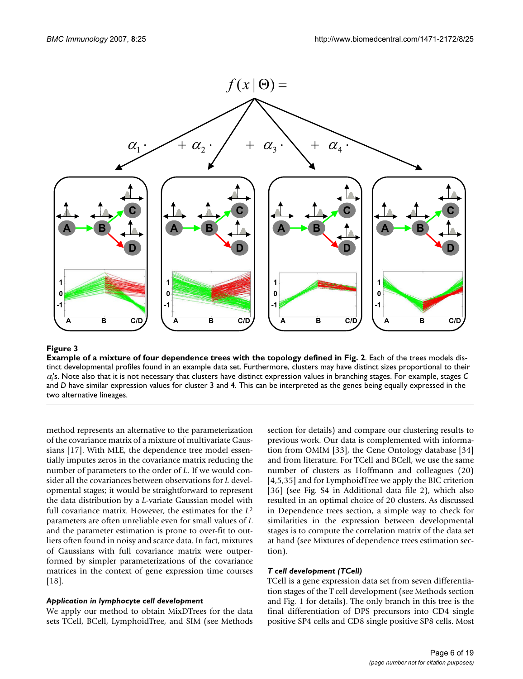

# Example of a mixture of four dependence trees with the topology defined in Fig. 2 **Figure 3**

**Example of a mixture of four dependence trees with the topology defined in Fig. 2**. Each of the trees models distinct developmental profiles found in an example data set. Furthermore, clusters may have distinct sizes proportional to their  $\alpha_i$ 's. Note also that it is not necessary that clusters have distinct expression values in branching stages. For example, stages  ${\cal C}$ and *D* have similar expression values for cluster 3 and 4. This can be interpreted as the genes being equally expressed in the two alternative lineages.

method represents an alternative to the parameterization of the covariance matrix of a mixture of multivariate Gaussians [17]. With MLE, the dependence tree model essentially imputes zeros in the covariance matrix reducing the number of parameters to the order of *L*. If we would consider all the covariances between observations for *L* developmental stages; it would be straightforward to represent the data distribution by a *L*-variate Gaussian model with full covariance matrix. However, the estimates for the *L*<sup>2</sup> parameters are often unreliable even for small values of *L* and the parameter estimation is prone to over-fit to outliers often found in noisy and scarce data. In fact, mixtures of Gaussians with full covariance matrix were outperformed by simpler parameterizations of the covariance matrices in the context of gene expression time courses [18].

#### *Application in lymphocyte cell development*

We apply our method to obtain MixDTrees for the data sets TCell, BCell, LymphoidTree, and SIM (see Methods section for details) and compare our clustering results to previous work. Our data is complemented with information from OMIM [33], the Gene Ontology database [34] and from literature. For TCell and BCell, we use the same number of clusters as Hoffmann and colleagues (20) [4,5,35] and for LymphoidTree we apply the BIC criterion [36] (see Fig. S4 in Additional data file 2), which also resulted in an optimal choice of 20 clusters. As discussed in Dependence trees section, a simple way to check for similarities in the expression between developmental stages is to compute the correlation matrix of the data set at hand (see Mixtures of dependence trees estimation section).

### *T cell development (TCell)*

TCell is a gene expression data set from seven differentiation stages of the T cell development (see Methods section and Fig. 1 for details). The only branch in this tree is the final differentiation of DPS precursors into CD4 single positive SP4 cells and CD8 single positive SP8 cells. Most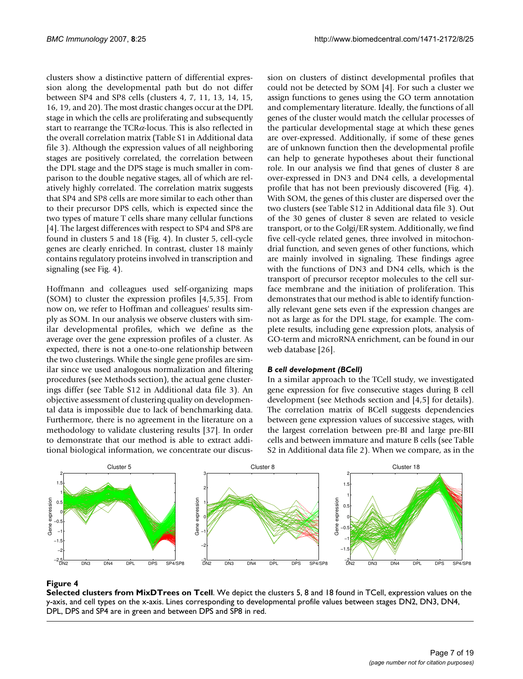clusters show a distinctive pattern of differential expression along the developmental path but do not differ between SP4 and SP8 cells (clusters 4, 7, 11, 13, 14, 15, 16, 19, and 20). The most drastic changes occur at the DPL stage in which the cells are proliferating and subsequently start to rearrange the  $TCR\alpha$ -locus. This is also reflected in the overall correlation matrix (Table S1 in Additional data file 3). Although the expression values of all neighboring stages are positively correlated, the correlation between the DPL stage and the DPS stage is much smaller in comparison to the double negative stages, all of which are relatively highly correlated. The correlation matrix suggests that SP4 and SP8 cells are more similar to each other than to their precursor DPS cells, which is expected since the two types of mature T cells share many cellular functions [4]. The largest differences with respect to SP4 and SP8 are found in clusters 5 and 18 (Fig. 4). In cluster 5, cell-cycle genes are clearly enriched. In contrast, cluster 18 mainly contains regulatory proteins involved in transcription and signaling (see Fig. 4).

Hoffmann and colleagues used self-organizing maps (SOM) to cluster the expression profiles [4,5,35]. From now on, we refer to Hoffman and colleagues' results simply as SOM. In our analysis we observe clusters with similar developmental profiles, which we define as the average over the gene expression profiles of a cluster. As expected, there is not a one-to-one relationship between the two clusterings. While the single gene profiles are similar since we used analogous normalization and filtering procedures (see Methods section), the actual gene clusterings differ (see Table S12 in Additional data file 3). An objective assessment of clustering quality on developmental data is impossible due to lack of benchmarking data. Furthermore, there is no agreement in the literature on a methodology to validate clustering results [37]. In order to demonstrate that our method is able to extract additional biological information, we concentrate our discussion on clusters of distinct developmental profiles that could not be detected by SOM [4]. For such a cluster we assign functions to genes using the GO term annotation and complementary literature. Ideally, the functions of all genes of the cluster would match the cellular processes of the particular developmental stage at which these genes are over-expressed. Additionally, if some of these genes are of unknown function then the developmental profile can help to generate hypotheses about their functional role. In our analysis we find that genes of cluster 8 are over-expressed in DN3 and DN4 cells, a developmental profile that has not been previously discovered (Fig. 4). With SOM, the genes of this cluster are dispersed over the two clusters (see Table S12 in Additional data file 3). Out of the 30 genes of cluster 8 seven are related to vesicle transport, or to the Golgi/ER system. Additionally, we find five cell-cycle related genes, three involved in mitochondrial function, and seven genes of other functions, which are mainly involved in signaling. These findings agree with the functions of DN3 and DN4 cells, which is the transport of precursor receptor molecules to the cell surface membrane and the initiation of proliferation. This demonstrates that our method is able to identify functionally relevant gene sets even if the expression changes are not as large as for the DPL stage, for example. The complete results, including gene expression plots, analysis of GO-term and microRNA enrichment, can be found in our web database [26].

#### *B cell development (BCell)*

In a similar approach to the TCell study, we investigated gene expression for five consecutive stages during B cell development (see Methods section and [4,5] for details). The correlation matrix of BCell suggests dependencies between gene expression values of successive stages, with the largest correlation between pre-BI and large pre-BII cells and between immature and mature B cells (see Table S2 in Additional data file 2). When we compare, as in the



### **Figure 4**

**Selected clusters from MixDTrees on Tcell**. We depict the clusters 5, 8 and 18 found in TCell, expression values on the y-axis, and cell types on the x-axis. Lines corresponding to developmental profile values between stages DN2, DN3, DN4, DPL, DPS and SP4 are in green and between DPS and SP8 in red.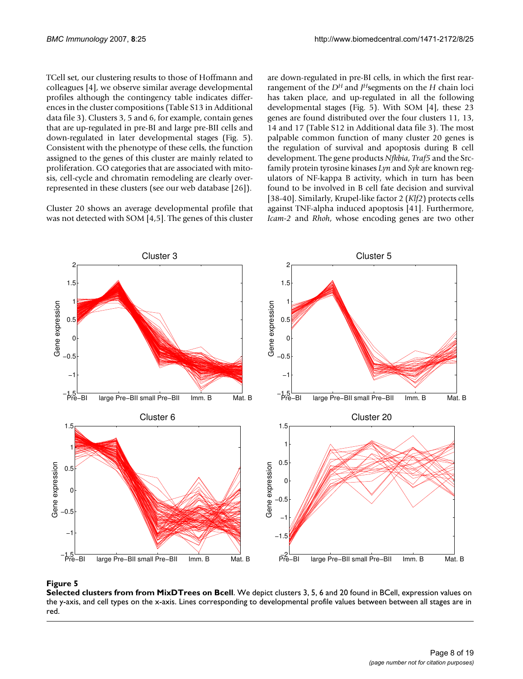TCell set, our clustering results to those of Hoffmann and colleagues [4], we observe similar average developmental profiles although the contingency table indicates differences in the cluster compositions (Table S13 in Additional data file 3). Clusters 3, 5 and 6, for example, contain genes that are up-regulated in pre-BI and large pre-BII cells and down-regulated in later developmental stages (Fig. 5). Consistent with the phenotype of these cells, the function assigned to the genes of this cluster are mainly related to proliferation. GO categories that are associated with mitosis, cell-cycle and chromatin remodeling are clearly overrepresented in these clusters (see our web database [26]).

Cluster 20 shows an average developmental profile that was not detected with SOM [4,5]. The genes of this cluster are down-regulated in pre-BI cells, in which the first rearrangement of the *DH* and *JH*segments on the *H* chain loci has taken place, and up-regulated in all the following developmental stages (Fig. 5). With SOM [4], these 23 genes are found distributed over the four clusters 11, 13, 14 and 17 (Table S12 in Additional data file 3). The most palpable common function of many cluster 20 genes is the regulation of survival and apoptosis during B cell development. The gene products *Nfkbia*, *Traf5* and the Srcfamily protein tyrosine kinases *Lyn* and *Syk* are known regulators of NF-kappa B activity, which in turn has been found to be involved in B cell fate decision and survival [38-40]. Similarly, Krupel-like factor 2 (*Klf2*) protects cells against TNF-alpha induced apoptosis [41]. Furthermore, *Icam-2* and *Rhoh*, whose encoding genes are two other



#### **Figure 5**

**Selected clusters from from MixDTrees on Bcell**. We depict clusters 3, 5, 6 and 20 found in BCell, expression values on the y-axis, and cell types on the x-axis. Lines corresponding to developmental profile values between between all stages are in red.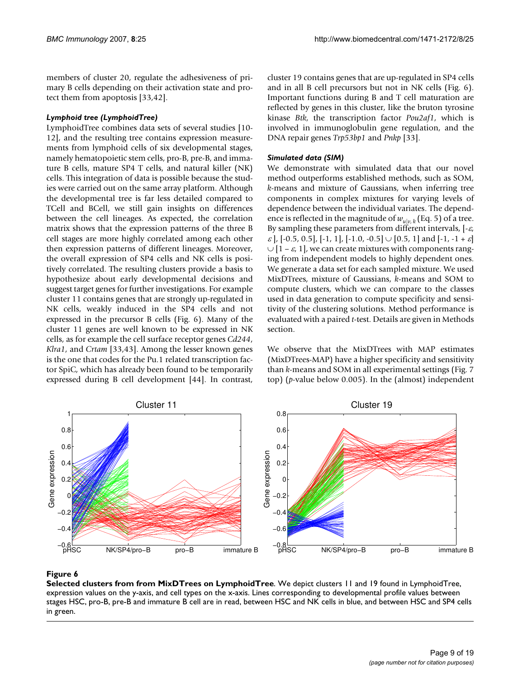members of cluster 20, regulate the adhesiveness of primary B cells depending on their activation state and protect them from apoptosis [33,42].

# *Lymphoid tree (LymphoidTree)*

LymphoidTree combines data sets of several studies [10- 12], and the resulting tree contains expression measurements from lymphoid cells of six developmental stages, namely hematopoietic stem cells, pro-B, pre-B, and immature B cells, mature SP4 T cells, and natural killer (NK) cells. This integration of data is possible because the studies were carried out on the same array platform. Although the developmental tree is far less detailed compared to TCell and BCell, we still gain insights on differences between the cell lineages. As expected, the correlation matrix shows that the expression patterns of the three B cell stages are more highly correlated among each other then expression patterns of different lineages. Moreover, the overall expression of SP4 cells and NK cells is positively correlated. The resulting clusters provide a basis to hypothesize about early developmental decisions and suggest target genes for further investigations. For example cluster 11 contains genes that are strongly up-regulated in NK cells, weakly induced in the SP4 cells and not expressed in the precursor B cells (Fig. 6). Many of the cluster 11 genes are well known to be expressed in NK cells, as for example the cell surface receptor genes *Cd244*, *Klra1*, and *Crtam* [33,43]. Among the lesser known genes is the one that codes for the Pu.1 related transcription factor SpiC, which has already been found to be temporarily expressed during B cell development [44]. In contrast, cluster 19 contains genes that are up-regulated in SP4 cells and in all B cell precursors but not in NK cells (Fig. 6). Important functions during B and T cell maturation are reflected by genes in this cluster, like the bruton tyrosine kinase *Btk*, the transcription factor *Pou2af1*, which is involved in immunoglobulin gene regulation, and the DNA repair genes *Trp53bp1* and *Pnkp* [33].

# *Simulated data (SIM)*

We demonstrate with simulated data that our novel method outperforms established methods, such as SOM, *k*-means and mixture of Gaussians, when inferring tree components in complex mixtures for varying levels of dependence between the individual variates. The dependence is reflected in the magnitude of  $w_{u|v,k}$  (Eq. 5) of a tree. By sampling these parameters from different intervals,  $[-\varepsilon, \frac{\varepsilon}{\varepsilon}]$  $\varepsilon$ , [-0.5, 0.5], [-1, 1], [-1.0, -0.5]  $\cup$  [0.5, 1] and [-1, -1 +  $\varepsilon$ ]  $\cup$  [1 –  $\varepsilon$ , 1], we can create mixtures with components ranging from independent models to highly dependent ones. We generate a data set for each sampled mixture. We used MixDTrees, mixture of Gaussians, *k*-means and SOM to compute clusters, which we can compare to the classes used in data generation to compute specificity and sensitivity of the clustering solutions. Method performance is evaluated with a paired *t*-test. Details are given in Methods section.

We observe that the MixDTrees with MAP estimates (MixDTrees-MAP) have a higher specificity and sensitivity than *k*-means and SOM in all experimental settings (Fig. 7 top) (*p*-value below 0.005). In the (almost) independent



### **Figure 6**

**Selected clusters from from MixDTrees on LymphoidTree**. We depict clusters 11 and 19 found in LymphoidTree, expression values on the y-axis, and cell types on the x-axis. Lines corresponding to developmental profile values between stages HSC, pro-B, pre-B and immature B cell are in read, between HSC and NK cells in blue, and between HSC and SP4 cells in green.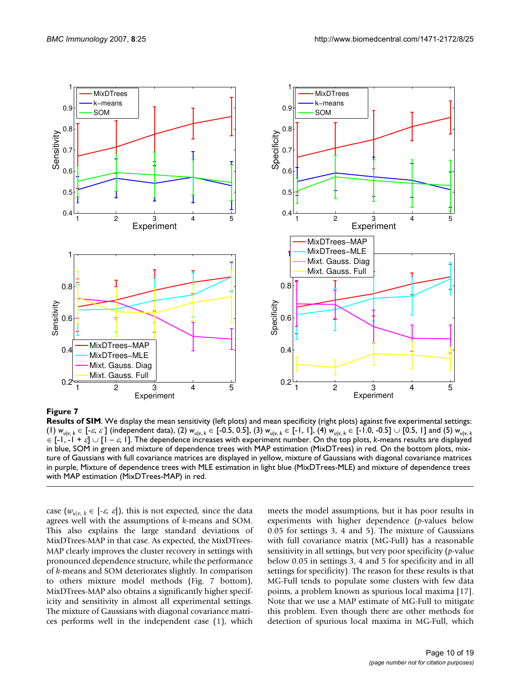

### **Figure 7**

**Results of SIM**. We display the mean sensitivity (left plots) and mean specificity (right plots) against five experimental settings: (1)  $w_{u|v,k} \in [-\varepsilon, \varepsilon]$  (independent data), (2)  $w_{u|v,k} \in [-0.5, 0.5]$ , (3)  $w_{u|v,k} \in [-1, 1]$ , (4)  $w_{u|v,k} \in [-1.0, -0.5] \cup [0.5, 1]$  and (5)  $w_{u|v,k}$  $\epsilon$  [-1, -1 +  $\epsilon$ ]  $\cup$  [1 –  $\epsilon$ , 1]. The dependence increases with experiment number. On the top plots, *k*-means results are displayed in blue, SOM in green and mixture of dependence trees with MAP estimation (MixDTrees) in red. On the bottom plots, mixture of Gaussians with full covariance matrices are displayed in yellow, mixture of Gaussians with diagonal covariance matrices in purple, Mixture of dependence trees with MLE estimation in light blue (MixDTrees-MLE) and mixture of dependence trees with MAP estimation (MixDTrees-MAP) in red.

case  $(w_{u|v, k} \in [-\varepsilon, \varepsilon])$ , this is not expected, since the data agrees well with the assumptions of *k*-means and SOM. This also explains the large standard deviations of MixDTrees-MAP in that case. As expected, the MixDTrees-MAP clearly improves the cluster recovery in settings with pronounced dependence structure, while the performance of *k*-means and SOM deteriorates slightly. In comparison to others mixture model methods (Fig. 7 bottom), MixDTrees-MAP also obtains a significantly higher specificity and sensitivity in almost all experimental settings. The mixture of Gaussians with diagonal covariance matrices performs well in the independent case (1), which

meets the model assumptions, but it has poor results in experiments with higher dependence (*p*-values below 0.05 for settings 3, 4 and 5). The mixture of Gaussians with full covariance matrix (MG-Full) has a reasonable sensitivity in all settings, but very poor specificity (*p*-value below 0.05 in settings 3, 4 and 5 for specificity and in all settings for specificity). The reason for these results is that MG-Full tends to populate some clusters with few data points, a problem known as spurious local maxima [17]. Note that we use a MAP estimate of MG-Full to mitigate this problem. Even though there are other methods for detection of spurious local maxima in MG-Full, which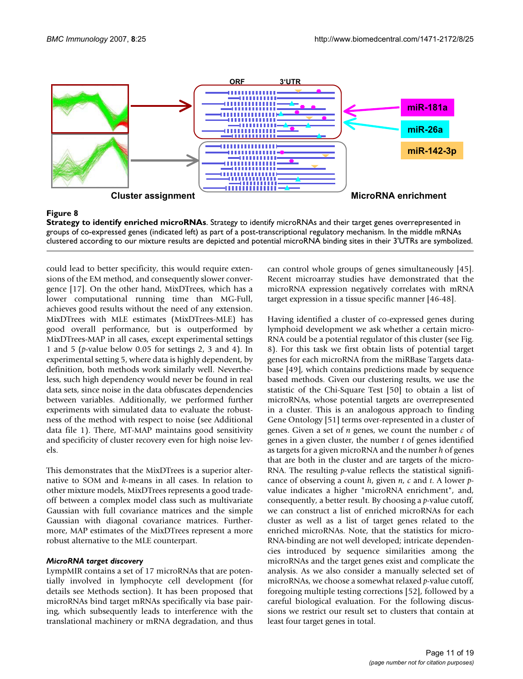

# **Figure 8**

**Strategy to identify enriched microRNAs**. Strategy to identify microRNAs and their target genes overrepresented in groups of co-expressed genes (indicated left) as part of a post-transcriptional regulatory mechanism. In the middle mRNAs clustered according to our mixture results are depicted and potential microRNA binding sites in their 3'UTRs are symbolized.

could lead to better specificity, this would require extensions of the EM method, and consequently slower convergence [17]. On the other hand, MixDTrees, which has a lower computational running time than MG-Full, achieves good results without the need of any extension. MixDTrees with MLE estimates (MixDTrees-MLE) has good overall performance, but is outperformed by MixDTrees-MAP in all cases, except experimental settings 1 and 5 (*p*-value below 0.05 for settings 2, 3 and 4). In experimental setting 5, where data is highly dependent, by definition, both methods work similarly well. Nevertheless, such high dependency would never be found in real data sets, since noise in the data obfuscates dependencies between variables. Additionally, we performed further experiments with simulated data to evaluate the robustness of the method with respect to noise (see Additional data file 1). There, MT-MAP maintains good sensitivity and specificity of cluster recovery even for high noise levels.

This demonstrates that the MixDTrees is a superior alternative to SOM and *k*-means in all cases. In relation to other mixture models, MixDTrees represents a good tradeoff between a complex model class such as multivariate Gaussian with full covariance matrices and the simple Gaussian with diagonal covariance matrices. Furthermore, MAP estimates of the MixDTrees represent a more robust alternative to the MLE counterpart.

### *MicroRNA target discovery*

LympMIR contains a set of 17 microRNAs that are potentially involved in lymphocyte cell development (for details see Methods section). It has been proposed that microRNAs bind target mRNAs specifically via base pairing, which subsequently leads to interference with the translational machinery or mRNA degradation, and thus can control whole groups of genes simultaneously [45]. Recent microarray studies have demonstrated that the microRNA expression negatively correlates with mRNA target expression in a tissue specific manner [46-48].

Having identified a cluster of co-expressed genes during lymphoid development we ask whether a certain micro-RNA could be a potential regulator of this cluster (see Fig. 8). For this task we first obtain lists of potential target genes for each microRNA from the miRBase Targets database [49], which contains predictions made by sequence based methods. Given our clustering results, we use the statistic of the Chi-Square Test [50] to obtain a list of microRNAs, whose potential targets are overrepresented in a cluster. This is an analogous approach to finding Gene Ontology [51] terms over-represented in a cluster of genes. Given a set of *n* genes, we count the number *c* of genes in a given cluster, the number *t* of genes identified as targets for a given microRNA and the number *h* of genes that are both in the cluster and are targets of the micro-RNA. The resulting *p*-value reflects the statistical significance of observing a count *h*, given *n*, *c* and *t*. A lower *p*value indicates a higher "microRNA enrichment", and, consequently, a better result. By choosing a *p*-value cutoff, we can construct a list of enriched microRNAs for each cluster as well as a list of target genes related to the enriched microRNAs. Note, that the statistics for micro-RNA-binding are not well developed; intricate dependencies introduced by sequence similarities among the microRNAs and the target genes exist and complicate the analysis. As we also consider a manually selected set of microRNAs, we choose a somewhat relaxed *p*-value cutoff, foregoing multiple testing corrections [52], followed by a careful biological evaluation. For the following discussions we restrict our result set to clusters that contain at least four target genes in total.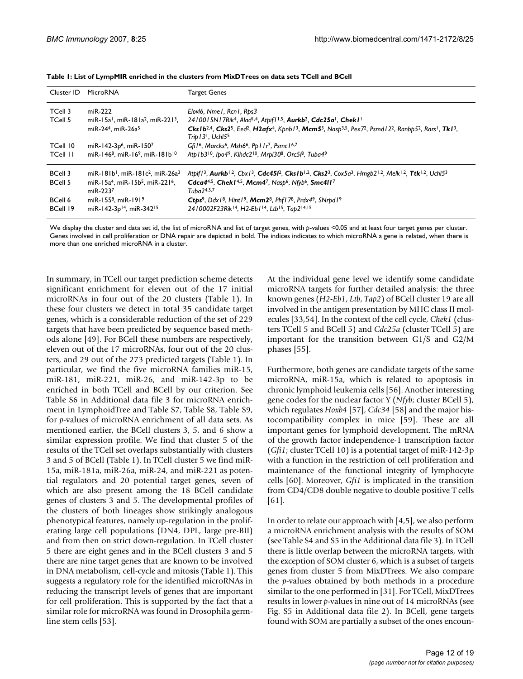| Cluster ID     | MicroRNA                                                              | <b>Target Genes</b>                                                                                                                                                                                                                                                                                                                                                        |
|----------------|-----------------------------------------------------------------------|----------------------------------------------------------------------------------------------------------------------------------------------------------------------------------------------------------------------------------------------------------------------------------------------------------------------------------------------------------------------------|
| TCell 3        | miR-222                                                               | Elovi6, Nme I, Rcn I, Rps3                                                                                                                                                                                                                                                                                                                                                 |
| TCell 5        | miR-15a <sup>1</sup> , miR-181a <sup>2</sup> , miR-221 <sup>3</sup> , | 2410015N17Rik <sup>4</sup> , Alad <sup>1,4</sup> , Atbif1 <sup>1,5</sup> , <b>Aurkb<sup>2</sup>, Cdc25a<sup>1</sup>, Chek1<sup>1</sup></b>                                                                                                                                                                                                                                 |
|                | miR-24 <sup>4</sup> , miR-26a <sup>5</sup>                            | <b>Cks Ib</b> <sup>2,4</sup> , <b>Cks2</b> <sup>5</sup> , Eed <sup>2</sup> , <b>H2afx</b> <sup>4</sup> , <i>Kpnb1</i> <sup>3</sup> , <b>Mcm5</b> <sup>3</sup> , <i>Nasp</i> <sup>3,5</sup> , <i>Pex</i> 7 <sup>2</sup> , <i>Psmd12</i> <sup>2</sup> , <i>Ranbp5</i> <sup>2</sup> , <i>Rars</i> <sup>1</sup> , <b>Tk1</b> <sup>3</sup> ,<br>Trip $131$ , Uchl5 <sup>5</sup> |
| TCell 10       | miR-142-3p <sup>6</sup> , miR-150 <sup>7</sup>                        | Gfi1 <sup>6</sup> , Marcks <sup>6</sup> , Msh6 <sup>6</sup> , Pp11r <sup>7</sup> , Psmc1 <sup>6,7</sup>                                                                                                                                                                                                                                                                    |
| TCell II       | miR-1468, miR-169, miR-181b <sup>10</sup>                             | Atp1b3 <sup>10</sup> , Ibo4 <sup>9</sup> , Klhdc2 <sup>10</sup> , Mrbl30 <sup>8</sup> , Orc5 <sup>p8</sup> , Tuba4 <sup>9</sup>                                                                                                                                                                                                                                            |
| <b>BCell 3</b> | miR-181b <sup>1</sup> , miR-181c <sup>2</sup> , miR-26a <sup>3</sup>  | Atpif13, Aurkb <sup>1,2</sup> , Cbx13, Cdc45P, Cks1b <sup>1,2</sup> , Cks23, Cox5a3, Hmgb2 <sup>1,2</sup> , Melk <sup>1,2</sup> , Ttk <sup>1,2</sup> , Uchl53                                                                                                                                                                                                              |
| <b>BCell 5</b> | miR-15a <sup>4</sup> , miR-15b <sup>5</sup> , miR-221 <sup>6</sup> ,  | Cdca44,5, Chek14,5, Mcm47, Nasp <sup>6</sup> , Nfyb <sup>6</sup> , Smc4117                                                                                                                                                                                                                                                                                                 |
|                | miR-2237                                                              | $TU$ ha $24,5,7$                                                                                                                                                                                                                                                                                                                                                           |
| <b>BCell 6</b> | miR-155 $8$ , miR-191 $9$                                             | Ctps <sup>9</sup> , Ddx $1^8$ , Hint $1^9$ , Mcm2 <sup>8</sup> , Phf17 <sup>8</sup> , Prdx4 <sup>9</sup> , SNrpd1 <sup>9</sup>                                                                                                                                                                                                                                             |
| BCell 19       | miR-142-3p <sup>14</sup> , miR-342 <sup>15</sup>                      | 2410002F23Rik <sup>14</sup> , H2-Eb1 <sup>14</sup> , Ltb <sup>15</sup> , Tap2 <sup>14,15</sup>                                                                                                                                                                                                                                                                             |

| Table 1: List of LympMIR enriched in the clusters from MixDTrees on data sets TCell and BCell |  |  |  |  |  |
|-----------------------------------------------------------------------------------------------|--|--|--|--|--|
|-----------------------------------------------------------------------------------------------|--|--|--|--|--|

We display the cluster and data set id, the list of microRNA and list of target genes, with *p*-values *<*0.05 and at least four target genes per cluster. Genes involved in cell proliferation or DNA repair are depicted in bold. The indices indicates to which microRNA a gene is related, when there is more than one enriched microRNA in a cluster.

In summary, in TCell our target prediction scheme detects significant enrichment for eleven out of the 17 initial microRNAs in four out of the 20 clusters (Table 1). In these four clusters we detect in total 35 candidate target genes, which is a considerable reduction of the set of 229 targets that have been predicted by sequence based methods alone [49]. For BCell these numbers are respectively, eleven out of the 17 microRNAs, four out of the 20 clusters, and 29 out of the 273 predicted targets (Table 1). In particular, we find the five microRNA families miR-15, miR-181, miR-221, miR-26, and miR-142-3p to be enriched in both TCell and BCell by our criterion. See Table S6 in Additional data file 3 for microRNA enrichment in LymphoidTree and Table S7, Table S8, Table S9, for *p*-values of microRNA enrichment of all data sets. As mentioned earlier, the BCell clusters 3, 5, and 6 show a similar expression profile. We find that cluster 5 of the results of the TCell set overlaps substantially with clusters 3 and 5 of BCell (Table 1). In TCell cluster 5 we find miR-15a, miR-181a, miR-26a, miR-24, and miR-221 as potential regulators and 20 potential target genes, seven of which are also present among the 18 BCell candidate genes of clusters 3 and 5. The developmental profiles of the clusters of both lineages show strikingly analogous phenotypical features, namely up-regulation in the proliferating large cell populations (DN4, DPL, large pre-BII) and from then on strict down-regulation. In TCell cluster 5 there are eight genes and in the BCell clusters 3 and 5 there are nine target genes that are known to be involved in DNA metabolism, cell-cycle and mitosis (Table 1). This suggests a regulatory role for the identified microRNAs in reducing the transcript levels of genes that are important for cell proliferation. This is supported by the fact that a similar role for microRNA was found in Drosophila germline stem cells [53].

At the individual gene level we identify some candidate microRNA targets for further detailed analysis: the three known genes (*H2-Eb1*, *Ltb*, *Tap2*) of BCell cluster 19 are all involved in the antigen presentation by MHC class II molecules [33,54]. In the context of the cell cycle, *Chek1* (clusters TCell 5 and BCell 5) and *Cdc25a* (cluster TCell 5) are important for the transition between G1/S and G2/M phases [55].

Furthermore, both genes are candidate targets of the same microRNA, miR-15a, which is related to apoptosis in chronic lymphoid leukemia cells [56]. Another interesting gene codes for the nuclear factor Y (*Nfyb*; cluster BCell 5), which regulates *Hoxb4* [57], *Cdc34* [58] and the major histocompatibility complex in mice [59]. These are all important genes for lymphoid development. The mRNA of the growth factor independence-1 transcription factor (*Gfi1*; cluster TCell 10) is a potential target of miR-142-3p with a function in the restriction of cell proliferation and maintenance of the functional integrity of lymphocyte cells [60]. Moreover, *Gfi1* is implicated in the transition from CD4/CD8 double negative to double positive T cells [61].

In order to relate our approach with [4,5], we also perform a microRNA enrichment analysis with the results of SOM (see Table S4 and S5 in the Additional data file 3). In TCell there is little overlap between the microRNA targets, with the exception of SOM cluster 6, which is a subset of targets genes from cluster 5 from MixDTrees. We also compare the *p*-values obtained by both methods in a procedure similar to the one performed in [31]. For TCell, MixDTrees results in lower *p*-values in nine out of 14 microRNAs (see Fig. S5 in Additional data file 2). In BCell, gene targets found with SOM are partially a subset of the ones encoun-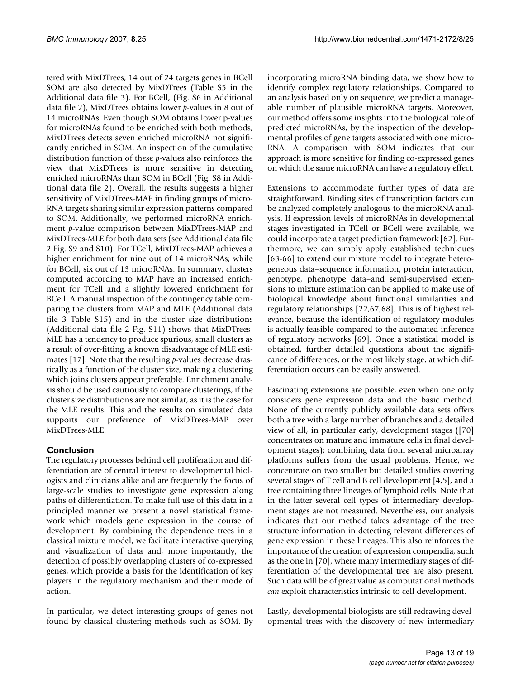tered with MixDTrees; 14 out of 24 targets genes in BCell SOM are also detected by MixDTrees (Table S5 in the Additional data file 3). For BCell, (Fig. S6 in Additional data file 2), MixDTrees obtains lower *p*-values in 8 out of 14 microRNAs. Even though SOM obtains lower p-values for microRNAs found to be enriched with both methods, MixDTrees detects seven enriched microRNA not significantly enriched in SOM. An inspection of the cumulative distribution function of these *p*-values also reinforces the view that MixDTrees is more sensitive in detecting enriched microRNAs than SOM in BCell (Fig. S8 in Additional data file 2). Overall, the results suggests a higher sensitivity of MixDTrees-MAP in finding groups of micro-RNA targets sharing similar expression patterns compared to SOM. Additionally, we performed microRNA enrichment *p*-value comparison between MixDTrees-MAP and MixDTrees-MLE for both data sets (see Additional data file 2 Fig. S9 and S10). For TCell, MixDTrees-MAP achieves a higher enrichment for nine out of 14 microRNAs; while for BCell, six out of 13 microRNAs. In summary, clusters computed according to MAP have an increased enrichment for TCell and a slightly lowered enrichment for BCell. A manual inspection of the contingency table comparing the clusters from MAP and MLE (Additional data file 3 Table S15) and in the cluster size distributions (Additional data file 2 Fig. S11) shows that MixDTrees-MLE has a tendency to produce spurious, small clusters as a result of over-fitting, a known disadvantage of MLE estimates [17]. Note that the resulting *p*-values decrease drastically as a function of the cluster size, making a clustering which joins clusters appear preferable. Enrichment analysis should be used cautiously to compare clusterings, if the cluster size distributions are not similar, as it is the case for the MLE results. This and the results on simulated data supports our preference of MixDTrees-MAP over MixDTrees-MLE.

# **Conclusion**

The regulatory processes behind cell proliferation and differentiation are of central interest to developmental biologists and clinicians alike and are frequently the focus of large-scale studies to investigate gene expression along paths of differentiation. To make full use of this data in a principled manner we present a novel statistical framework which models gene expression in the course of development. By combining the dependence trees in a classical mixture model, we facilitate interactive querying and visualization of data and, more importantly, the detection of possibly overlapping clusters of co-expressed genes, which provide a basis for the identification of key players in the regulatory mechanism and their mode of action.

In particular, we detect interesting groups of genes not found by classical clustering methods such as SOM. By incorporating microRNA binding data, we show how to identify complex regulatory relationships. Compared to an analysis based only on sequence, we predict a manageable number of plausible microRNA targets. Moreover, our method offers some insights into the biological role of predicted microRNAs, by the inspection of the developmental profiles of gene targets associated with one micro-RNA. A comparison with SOM indicates that our approach is more sensitive for finding co-expressed genes on which the same microRNA can have a regulatory effect.

Extensions to accommodate further types of data are straightforward. Binding sites of transcription factors can be analyzed completely analogous to the microRNA analysis. If expression levels of microRNAs in developmental stages investigated in TCell or BCell were available, we could incorporate a target prediction framework [62]. Furthermore, we can simply apply established techniques [63-66] to extend our mixture model to integrate heterogeneous data–sequence information, protein interaction, genotype, phenotype data–and semi-supervised extensions to mixture estimation can be applied to make use of biological knowledge about functional similarities and regulatory relationships [22,67,68]. This is of highest relevance, because the identification of regulatory modules is actually feasible compared to the automated inference of regulatory networks [69]. Once a statistical model is obtained, further detailed questions about the significance of differences, or the most likely stage, at which differentiation occurs can be easily answered.

Fascinating extensions are possible, even when one only considers gene expression data and the basic method. None of the currently publicly available data sets offers both a tree with a large number of branches and a detailed view of all, in particular early, development stages ([70] concentrates on mature and immature cells in final development stages); combining data from several microarray platforms suffers from the usual problems. Hence, we concentrate on two smaller but detailed studies covering several stages of T cell and B cell development [4,5], and a tree containing three lineages of lymphoid cells. Note that in the latter several cell types of intermediary development stages are not measured. Nevertheless, our analysis indicates that our method takes advantage of the tree structure information in detecting relevant differences of gene expression in these lineages. This also reinforces the importance of the creation of expression compendia, such as the one in [70], where many intermediary stages of differentiation of the developmental tree are also present. Such data will be of great value as computational methods *can* exploit characteristics intrinsic to cell development.

Lastly, developmental biologists are still redrawing developmental trees with the discovery of new intermediary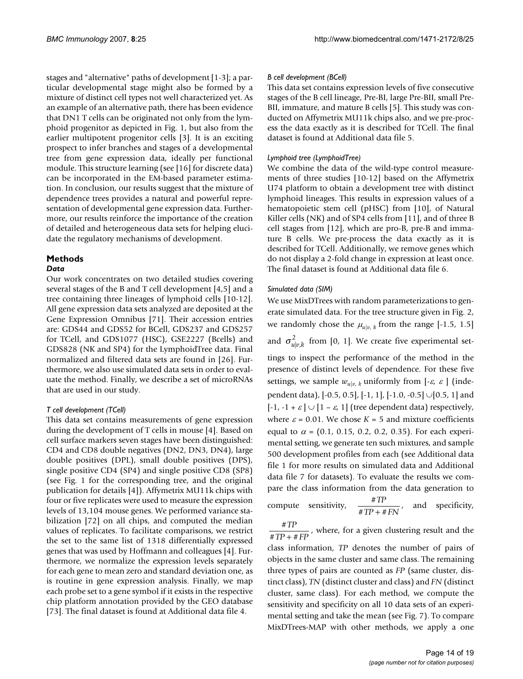stages and "alternative" paths of development [1-3]; a particular developmental stage might also be formed by a mixture of distinct cell types not well characterized yet. As an example of an alternative path, there has been evidence that DN1 T cells can be originated not only from the lymphoid progenitor as depicted in Fig. 1, but also from the earlier multipotent progenitor cells [3]. It is an exciting prospect to infer branches and stages of a developmental tree from gene expression data, ideally per functional module. This structure learning (see [16] for discrete data) can be incorporated in the EM-based parameter estimation. In conclusion, our results suggest that the mixture of dependence trees provides a natural and powerful representation of developmental gene expression data. Furthermore, our results reinforce the importance of the creation of detailed and heterogeneous data sets for helping elucidate the regulatory mechanisms of development.

#### **Methods** *Data*

Our work concentrates on two detailed studies covering several stages of the B and T cell development [4,5] and a tree containing three lineages of lymphoid cells [10-12]. All gene expression data sets analyzed are deposited at the Gene Expression Omnibus [71]. Their accession entries are: GDS44 and GDS52 for BCell, GDS237 and GDS257 for TCell, and GDS1077 (HSC), GSE2227 (Bcells) and GDS828 (NK and SP4) for the LymphoidTree data. Final normalized and filtered data sets are found in [26]. Furthermore, we also use simulated data sets in order to evaluate the method. Finally, we describe a set of microRNAs that are used in our study.

# *T cell development (TCell)*

This data set contains measurements of gene expression during the development of T cells in mouse [4]. Based on cell surface markers seven stages have been distinguished: CD4 and CD8 double negatives (DN2, DN3, DN4), large double positives (DPL), small double positives (DPS), single positive CD4 (SP4) and single positive CD8 (SP8) (see Fig. 1 for the corresponding tree, and the original publication for details [4]). Affymetrix MU11k chips with four or five replicates were used to measure the expression levels of 13,104 mouse genes. We performed variance stabilization [72] on all chips, and computed the median values of replicates. To facilitate comparisons, we restrict the set to the same list of 1318 differentially expressed genes that was used by Hoffmann and colleagues [4]. Furthermore, we normalize the expression levels separately for each gene to mean zero and standard deviation one, as is routine in gene expression analysis. Finally, we map each probe set to a gene symbol if it exists in the respective chip platform annotation provided by the GEO database [73]. The final dataset is found at Additional data file 4.

# *B cell development (BCell)*

This data set contains expression levels of five consecutive stages of the B cell lineage, Pre-BI, large Pre-BII, small Pre-BII, immature, and mature B cells [5]. This study was conducted on Affymetrix MU11k chips also, and we pre-process the data exactly as it is described for TCell. The final dataset is found at Additional data file 5.

# *Lymphoid tree (LymphoidTree)*

We combine the data of the wild-type control measurements of three studies [10-12] based on the Affymetrix U74 platform to obtain a development tree with distinct lymphoid lineages. This results in expression values of a hematopoietic stem cell (pHSC) from [10], of Natural Killer cells (NK) and of SP4 cells from [11], and of three B cell stages from [12], which are pro-B, pre-B and immature B cells. We pre-process the data exactly as it is described for TCell. Additionally, we remove genes which do not display a 2-fold change in expression at least once. The final dataset is found at Additional data file 6.

# *Simulated data (SIM)*

We use MixDTrees with random parameterizations to generate simulated data. For the tree structure given in Fig. 2, we randomly chose the  $\mu_{u|v, k}$  from the range [-1.5, 1.5] and  $\sigma_{u|\nu,k}^2$  from [0, 1]. We create five experimental settings to inspect the performance of the method in the presence of distinct levels of dependence. For these five settings, we sample  $w_{u|v, k}$  uniformly from [- $\varepsilon$ ,  $\varepsilon$ ] (independent data),  $[-0.5, 0.5]$ ,  $[-1, 1]$ ,  $[-1.0, -0.5]$   $\cup$   $[0.5, 1]$  and  $[-1, -1 + \varepsilon] \cup [1 - \varepsilon, 1]$  (tree dependent data) respectively, where  $\varepsilon$  = 0.01. We chose  $K = 5$  and mixture coefficients equal to  $\alpha$  = (0.1, 0.15, 0.2, 0.2, 0.35). For each experimental setting, we generate ten such mixtures, and sample 500 development profiles from each (see Additional data file 1 for more results on simulated data and Additional data file 7 for datasets). To evaluate the results we compare the class information from the data generation to compute sensitivity,  $\frac{\#TP}{\#TP}$ , and specificity, #  $TP + #$ *TP*  $TP + \# FN$ 

 $\frac{\text{#TP}}{\text{P}}$ , where, for a given clustering result and the class information, *TP* denotes the number of pairs of # TP + # *TP TP* + *# FP* 

objects in the same cluster and same class. The remaining three types of pairs are counted as *FP* (same cluster, distinct class), *TN* (distinct cluster and class) and *FN* (distinct cluster, same class). For each method, we compute the sensitivity and specificity on all 10 data sets of an experimental setting and take the mean (see Fig. 7). To compare MixDTrees-MAP with other methods, we apply a one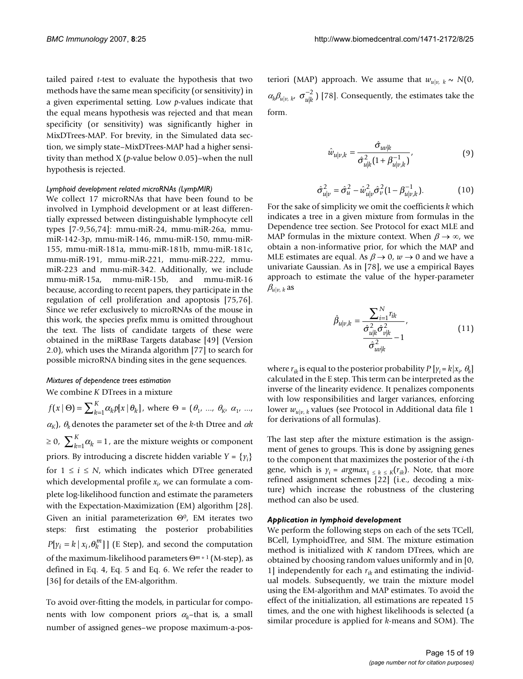tailed paired *t*-test to evaluate the hypothesis that two methods have the same mean specificity (or sensitivity) in a given experimental setting. Low *p*-values indicate that the equal means hypothesis was rejected and that mean specificity (or sensitivity) was significantly higher in MixDTrees-MAP. For brevity, in the Simulated data section, we simply state–MixDTrees-MAP had a higher sensitivity than method X (*p*-value below 0.05)–when the null hypothesis is rejected.

#### *Lymphoid development related microRNAs (LympMIR)*

We collect 17 microRNAs that have been found to be involved in Lymphoid development or at least differentially expressed between distinguishable lymphocyte cell types [7-9,56,74]: mmu-miR-24, mmu-miR-26a, mmumiR-142-3p, mmu-miR-146, mmu-miR-150, mmu-miR-155, mmu-miR-181a, mmu-miR-181b, mmu-miR-181c, mmu-miR-191, mmu-miR-221, mmu-miR-222, mmumiR-223 and mmu-miR-342. Additionally, we include mmu-miR-15a, mmu-miR-15b, and mmu-miR-16 because, according to recent papers, they participate in the regulation of cell proliferation and apoptosis [75,76]. Since we refer exclusively to microRNAs of the mouse in this work, the species prefix mmu is omitted throughout the text. The lists of candidate targets of these were obtained in the miRBase Targets database [49] (Version 2.0), which uses the Miranda algorithm [77] to search for possible microRNA binding sites in the gene sequences.

#### *Mixtures of dependence trees estimation*

We combine *K* DTrees in a mixture

 $f(x | \Theta) = \sum_{k=1}^{K} \alpha_k p[x | \theta_k]$ , where  $\Theta = (\theta_1, ..., \theta_K, \alpha_1, ..., \alpha_K)$  $\alpha_K$ ),  $\theta_k$  denotes the parameter set of the *k*-th Dtree and  $\alpha k$  $\geq 0$ ,  $\sum_{k=1}^{K} \alpha_k = 1$ , are the mixture weights or component priors. By introducing a discrete hidden variable  $Y = \{y_i\}$ for  $1 \le i \le N$ , which indicates which DTree generated which developmental profile *xi* , we can formulate a complete log-likelihood function and estimate the parameters with the Expectation-Maximization (EM) algorithm [28]. Given an initial parameterization  $\Theta$ <sup>0</sup>, EM iterates two steps: first estimating the posterior probabilities  $P[\gamma_i = k \mid x_i, \theta_k^m]$  [ E Step), and second the computation of the maximum-likelihood parameters  $\Theta^{m+1}$  (M-step), as defined in Eq. 4, Eq. 5 and Eq. 6. We refer the reader to [36] for details of the EM-algorithm.

To avoid over-fitting the models, in particular for components with low component priors  $\alpha_k$ –that is, a small number of assigned genes–we propose maximum-a-posteriori (MAP) approach. We assume that  $w_{u|v, k} \sim N(0,$  $\alpha_{k}\beta_{u|v, k'}$ ,  $\sigma_{u|k}^{-2}$  ) [78]. Consequently, the estimates take the form.

$$
\hat{w}_{u|v,k} = \frac{\hat{\sigma}_{uv|k}}{\hat{\sigma}_{u|k}^2 (1 + \beta_{u|v,k}^{-1})},
$$
\n(9)

$$
\hat{\sigma}_{u|v}^2 = \hat{\sigma}_u^2 - \hat{w}_{u|v}^2 \hat{\sigma}_v^2 (1 - \beta_{u|v,k}^{-1}). \tag{10}
$$

For the sake of simplicity we omit the coefficients *k* which indicates a tree in a given mixture from formulas in the Dependence tree section. See Protocol for exact MLE and MAP formulas in the mixture context. When  $\beta \rightarrow \infty$ , we obtain a non-informative prior, for which the MAP and MLE estimates are equal. As  $\beta \rightarrow 0$ ,  $w \rightarrow 0$  and we have a univariate Gaussian. As in [78], we use a empirical Bayes approach to estimate the value of the hyper-parameter  $\beta_{u|v, k}$  as

$$
\hat{\beta}_{u|v,k} = \frac{\sum_{i=1}^{N} r_{ik}}{\hat{\sigma}_{u|k}^2 \hat{\sigma}_{v|k}^2 - 1},\tag{11}
$$

where  $r_{ik}$  is equal to the posterior probability  $P\left[\gamma_i = k | x_i, \theta_k\right]$ calculated in the E step. This term can be interpreted as the inverse of the linearity evidence. It penalizes components with low responsibilities and larger variances, enforcing lower  $w_{u|v, k}$  values (see Protocol in Additional data file 1 for derivations of all formulas).

The last step after the mixture estimation is the assignment of genes to groups. This is done by assigning genes to the component that maximizes the posterior of the *i*-th gene, which is  $\gamma_i = argmax_{1 \leq k \leq K}(\tau_{ik})$ . Note, that more refined assignment schemes [22] (i.e., decoding a mixture) which increase the robustness of the clustering method can also be used.

#### *Application in lymphoid development*

We perform the following steps on each of the sets TCell, BCell, LymphoidTree, and SIM. The mixture estimation method is initialized with *K* random DTrees, which are obtained by choosing random values uniformly and in [0, 1] independently for each  $r_{ik}$  and estimating the individual models. Subsequently, we train the mixture model using the EM-algorithm and MAP estimates. To avoid the effect of the initialization, all estimations are repeated 15 times, and the one with highest likelihoods is selected (a similar procedure is applied for *k*-means and SOM). The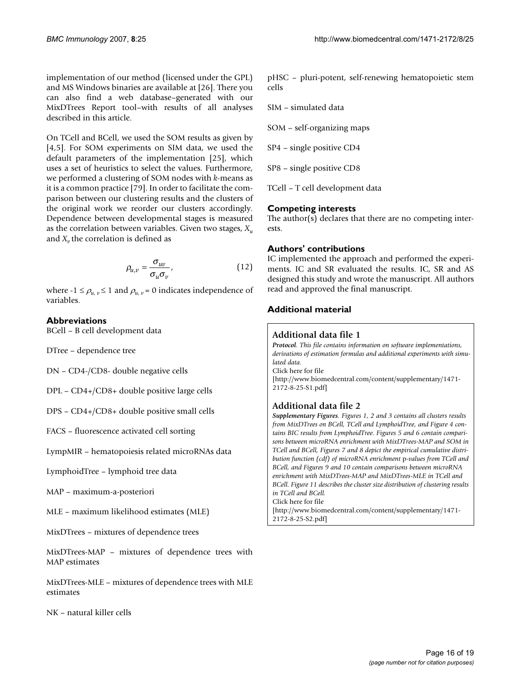implementation of our method (licensed under the GPL) and MS Windows binaries are available at [26]. There you can also find a web database–generated with our MixDTrees Report tool–with results of all analyses described in this article.

On TCell and BCell, we used the SOM results as given by [4,5]. For SOM experiments on SIM data, we used the default parameters of the implementation [25], which uses a set of heuristics to select the values. Furthermore, we performed a clustering of SOM nodes with *k*-means as it is a common practice [79]. In order to facilitate the comparison between our clustering results and the clusters of the original work we reorder our clusters accordingly. Dependence between developmental stages is measured as the correlation between variables. Given two stages,  $X_u$ and  $X<sub>v</sub>$  the correlation is defined as

$$
\rho_{u,v} = \frac{\sigma_{uv}}{\sigma_u \sigma_v},\tag{12}
$$

where  $-1 \le \rho_{u,v} \le 1$  and  $\rho_{u,v} = 0$  indicates independence of variables.

### **Abbreviations**

BCell – B cell development data

DTree – dependence tree

DN – CD4-/CD8- double negative cells

DPL – CD4+/CD8+ double positive large cells

DPS – CD4+/CD8+ double positive small cells

FACS – fluorescence activated cell sorting

LympMIR – hematopoiesis related microRNAs data

LymphoidTree – lymphoid tree data

MAP – maximum-a-posteriori

MLE – maximum likelihood estimates (MLE)

MixDTrees – mixtures of dependence trees

MixDTrees-MAP – mixtures of dependence trees with MAP estimates

MixDTrees-MLE – mixtures of dependence trees with MLE estimates

NK – natural killer cells

pHSC – pluri-potent, self-renewing hematopoietic stem cells

SIM – simulated data

SOM – self-organizing maps

SP4 – single positive CD4

SP8 – single positive CD8

TCell – T cell development data

### **Competing interests**

The author(s) declares that there are no competing interests.

#### **Authors' contributions**

IC implemented the approach and performed the experiments. IC and SR evaluated the results. IC, SR and AS designed this study and wrote the manuscript. All authors read and approved the final manuscript.

# **Additional material**

# **Additional data file 1**

*Protocol. This file contains information on software implementations, derivations of estimation formulas and additional experiments with simulated data.* Click here for file [http://www.biomedcentral.com/content/supplementary/1471- 2172-8-25-S1.pdf]

# **Additional data file 2**

*Supplementary Figures. Figures 1, 2 and 3 contains all clusters results from MixDTrees on BCell, TCell and LymphoidTree, and Figure 4 contains BIC results from LymphoidTree. Figures 5 and 6 contain comparisons between microRNA enrichment with MixDTrees-MAP and SOM in TCell and BCell, Figures 7 and 8 depict the empirical cumulative distribution function (cdf) of microRNA enrichment* p*-values from TCell and BCell, and Figures 9 and 10 contain comparisons between microRNA enrichment with MixDTrees-MAP and MixDTrees-MLE in TCell and BCell. Figure 11 describes the cluster size distribution of clustering results in TCell and BCell.* Click here for file

[http://www.biomedcentral.com/content/supplementary/1471- 2172-8-25-S2.pdf]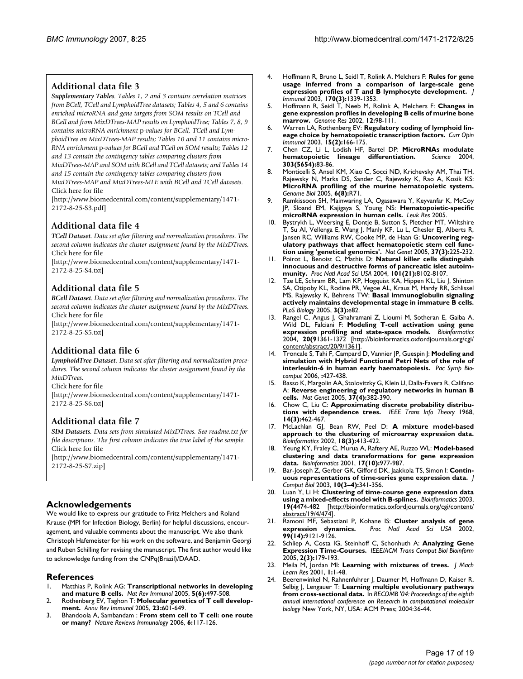# **Additional data file 3**

*Supplementary Tables. Tables 1, 2 and 3 contains correlation matrices from BCell, TCell and LymphoidTree datasets; Tables 4, 5 and 6 contains enriched microRNA and gene targets from SOM results on TCell and BCell and from MixDTrees-MAP results on LymphoidTree; Tables 7, 8, 9 contains microRNA enrichment* p*-values for BCell, TCell and LymphoidTree on MixDTrees-MAP results; Tables 10 and 11 contains micro-RNA enrichment* p*-values for BCell and TCell on SOM results; Tables 12 and 13 contain the contingency tables comparing clusters from MixDTrees-MAP and SOM with BCell and TCell datasets; and Tables 14 and 15 contain the contingency tables comparing clusters from MixDTrees-MAP and MixDTrees-MLE with BCell and TCell datasets.* Click here for file

[http://www.biomedcentral.com/content/supplementary/1471- 2172-8-25-S3.pdf]

# **Additional data file 4**

*TCell Dataset. Data set after filtering and normalization procedures. The second column indicates the cluster assignment found by the MixDTrees.* Click here for file

[http://www.biomedcentral.com/content/supplementary/1471- 2172-8-25-S4.txt]

# **Additional data file 5**

*BCell Dataset. Data set after filtering and normalization procedures. The second column indicates the cluster assignment found by the MixDTrees.* Click here for file

[http://www.biomedcentral.com/content/supplementary/1471- 2172-8-25-S5.txt]

# **Additional data file 6**

*LymphoidTree Dataset. Data set after filtering and normalization procedures. The second column indicates the cluster assignment found by the MixDTrees.*

Click here for file

[http://www.biomedcentral.com/content/supplementary/1471- 2172-8-25-S6.txt]

# **Additional data file 7**

*SIM Datasets. Data sets from simulated MixDTrees. See readme.txt for file descriptions. The first column indicates the true label of the sample.* Click here for file

[http://www.biomedcentral.com/content/supplementary/1471- 2172-8-25-S7.zip]

# **Acknowledgements**

We would like to express our gratitude to Fritz Melchers and Roland Krause (MPI for Infection Biology, Berlin) for helpful discussions, encouragement, and valuable comments about the manuscript. We also thank Christoph Hafemeister for his work on the software, and Benjamin Georgi and Ruben Schilling for revising the manuscript. The first author would like to acknowledge funding from the CNPq(Brazil)/DAAD.

### **References**

- 1. Matthias P, Rolink AG: **Transcriptional networks in developing and mature B cells.** *Nat Rev Immunol* 2005, **5(6):**497-508.
- 2. Rothenberg EV, Taghon T: **Molecular genetics of T cell development.** *Annu Rev Immunol* 2005, **23:**601-649.
- 3. Bhandoola A, Sambandam : **From stem cell to T cell: one route or many?** *Nature Reviews Immunology* 2006, **6:**117-126.
- 4. Hoffmann R, Bruno L, Seidl T, Rolink A, Melchers F: **Rules for gene usage inferred from a comparison of large-scale gene expression profiles of T and B lymphocyte development.** *J Immunol* 2003, **170(3):**1339-1353.
- 5. Hoffmann R, Seidl T, Neeb M, Rolink A, Melchers F: **Changes in gene expression profiles in developing B cells of murine bone marrow.** *Genome Res* 2002, **12:**98-111.
- 6. Warren LA, Rothenberg EV: **Regulatory coding of lymphoid lineage choice by hematopoietic transcription factors.** *Curr Opin Immunol* 2003, **15(2):**166-175.
- 7. Chen CZ, Li L, Lodish HF, Bartel DP: **MicroRNAs modulate hematopoietic lineage differentiation. 303(5654):**83-86.
- 8. Monticelli S, Ansel KM, Xiao C, Socci ND, Krichevsky AM, Thai TH, Rajewsky N, Marks DS, Sander C, Rajewsky K, Rao A, Kosik KS: **MicroRNA profiling of the murine hematopoietic system.** *Genome Biol* 2005, **6(8):**R71.
- 9. Ramkissoon SH, Mainwaring LA, Ogasawara Y, Keyvanfar K, McCoy JP, Sloand EM, Kajigaya S, Young NS: **Hematopoietic-specific microRNA expression in human cells.** *Leuk Res* 2005.
- 10. Bystrykh L, Weersing E, Dontje B, Sutton S, Pletcher MT, Wiltshire T, Su AI, Vellenga E, Wang J, Manly KF, Lu L, Chesler EJ, Alberts R, Jansen RC, Williams RW, Cooke MP, de Haan G: **Uncovering regulatory pathways that affect hematopoietic stem cell function using 'genetical genomics'.** *Nat Genet* 2005, **37(3):**225-232.
- 11. Poirot L, Benoist C, Mathis D: **Natural killer cells distinguish innocuous and destructive forms of pancreatic islet autoimmunity.** *Proc Natl Acad Sci USA* 2004, **101(21):**8102-8107.
- 12. Tze LE, Schram BR, Lam KP, Hogquist KA, Hippen KL, Liu J, Shinton SA, Otipoby KL, Rodine PR, Vegoe AL, Kraus M, Hardy RR, Schlissel MS, Rajewsky K, Behrens TW: **Basal immunoglobulin signaling actively maintains developmental stage in immature B cells.** *PLoS Biology* 2005, **3(3):**e82.
- 13. Rangel C, Angus J, Ghahramani Z, Lioumi M, Sotheran E, Gaiba A, Wild DL, Falciani F: **Modeling T-cell activation using gene expression profiling and state-space models.** *Bioinformatics* 2004, **20(9**1361-1372 [http://bioinformatics.oxfordjournals.org/cgi/ content/abstract/20/9/1361].
- 14. Troncale S, Tahi F, Campard D, Vannier JP, Guespin J: **Modeling and simulation with Hybrid Functional Petri Nets of the role of interleukin-6 in human early haematopoiesis.** *Pac Symp Biocomput* 2006, **:**427-438.
- 15. Basso K, Margolin AA, Stolovitzky G, Klein U, Dalla-Favera R, Califano A: **Reverse engineering of regulatory networks in human B cells.** *Nat Genet* 2005, **37(4):**382-390.
- 16. Chow C, Liu C: **Approximating discrete probability distributions with dependence trees.** *IEEE Trans Info Theory* 1968, **14(3):**462-467.
- 17. McLachlan GJ, Bean RW, Peel D: **A mixture model-based approach to the clustering of microarray expression data.** *Bioinformatics* 2002, **18(3):**413-422.
- 18. Yeung KY, Fraley C, Murua A, Raftery AE, Ruzzo WL: **Model-based clustering and data transformations for gene expression data.** *Bioinformatics* 2001, **17(10):**977-987.
- 19. Bar-Joseph Z, Gerber GK, Gifford DK, Jaakkola TS, Simon I: **Continuous representations of time-series gene expression data.** *J Comput Biol* 2003, **10(3–4):**341-356.
- 20. Luan Y, Li H: **Clustering of time-course gene expression data using a mixed-effects model with B-splines.** *Bioinformatics* 2003, **19(4**474-482 [http://bioinformatics.oxfordjournals.org/cgi/content/ abstract/19/4/474].
- 21. Ramoni MF, Sebastiani P, Kohane IS: **Cluster analysis of gene expression dynamics.** *Proc Natl Acad Sci USA* 2002, **99(14):**9121-9126.
- 22. Schliep A, Costa IG, Steinhoff C, Schonhuth A: **Analyzing Gene Expression Time-Courses.** *IEEE/ACM Trans Comput Biol Bioinform* 2005, **2(3):**179-193.
- 23. Meila M, Jordan MI: **Learning with mixtures of trees.** *J Mach Learn Res* 2001, **1:**1-48.
- 24. Beerenwinkel N, Rahnenfuhrer J, Daumer M, Hoffmann D, Kaiser R, Selbig J, Lengauer T: **Learning multiple evolutionary pathways from cross-sectional data.** In *RECOMB '04: Proceedings of the eighth annual international conference on Research in computational molecular biology* New York, NY, USA: ACM Press; 2004:36-44.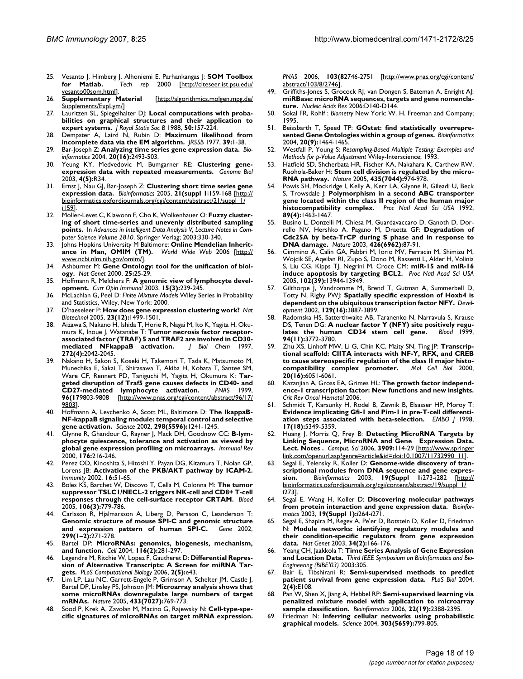- 25. Vesanto J, Himberg J, Alhoniemi E, Parhankangas J: **SOM Toolbox**<br>**for Matlab.** Tech reb 2000 [http://citeseer.jst.psu.edu/ **for Matlab.** *Tech rep* 2000 [http://citeseer.ist.psu.edu/
- vesanto00som.html].<br>Supplementary Material 26. **Supplementary Material** [http://algorithmics.molgen.mpg.de/ Supplements/ExpLym/]
- 27. Lauritzen SL, Spiegelhalter DJ: **Local computations with probabilities on graphical structures and their application to expert systems.** *J Royal Statis Soc B* 1988, **50:**157-224.
- 28. Dempster A, Laird N, Rubin D: **Maximum likelihood from incomplete data via the EM algorithm.** *JRSSB* 1977, **39:**1-38.
- 29. Bar-Joseph Z: **Analyzing time series gene expression data.** *Bioinformatics* 2004, **20(16):**2493-503.
- 30. Yeung KY, Medvedovic M, Bumgarner RE: **Clustering geneexpression data with repeated measurements.** *Genome Biol* 2003, **4(5):**R34.
- 31. Ernst J, Nau GJ, Bar-Joseph Z: **Clustering short time series gene expression data.** *Bioinformatics* 2005, **21(suppl 1**i159-168 [http:// bioinformatics.oxfordjournals.org/cgi/content/abstract/21/suppl\_1/ i159].
- 32. Moller-Levet C, Klawonn F, Cho K, Wolkenhauer O: **Fuzzy clustering of short time-series and unevenly distributed sampling points.** In *Advances in Intelligent Data Analysis V, Lecture Notes in Computer Science Volume 2810*. Springer Verlag; 2003:330-340.
- 33. Johns Hopkins University M Baltimore: **Online Mendelian Inheritance in Man, OMIM (TM).** *World Wide Web* 2006 [http:// www.ncbi.nlm.nih.gov/omim/].
- 34. Ashburner M: **Gene Ontology: tool for the unification of biology.** *Nat Genet* 2000, **25:**25-29.
- 35. Hoffmann R, Melchers F: **A genomic view of lymphocyte development.** *Curr Opin Immunol* 2003, **15(3):**239-245.
- 36. McLachlan G, Peel D: *Finite Mixture Models* Wiley Series in Probability and Statistics, Wiley, New York; 2000.
- 37. D'haeseleer P: **How does gene expression clustering work?** *Nat Biotechnol* 2005, **23(12):**1499-1501.
- 38. Aizawa S, Nakano H, Ishida T, Horie R, Nagai M, Ito K, Yagita H, Okumura K, Inoue J, Watanabe T: **Tumor necrosis factor receptorassociated factor (TRAF) 5 and TRAF2 are involved in CD30** mediated **NFkappaB** activation. **272(4):**2042-2045.
- 39. Nakano H, Sakon S, Koseki H, Takemori T, Tada K, Matsumoto M, Munechika E, Sakai T, Shirasawa T, Akiba H, Kobata T, Santee SM, Ware CF, Rennert PD, Taniguchi M, Yagita H, Okumura K: **Targeted disruption of Traf5 gene causes defects in CD40- and CD27-mediated lymphocyte activation.**<br>**96(17**9803-9808 [http://www.pnas.org/cgi/cont **96(17**9803-9808 [http://www.pnas.org/cgi/content/abstract/96/17/ 9803].
- Hoffmann A, Levchenko A, Scott ML, Baltimore D: **The IkappaB-NF-kappaB signaling module: temporal control and selective gene activation.** *Science* 2002, **298(5596):**1241-1245.
- 41. Glynne R, Ghandour G, Rayner J, Mack DH, Goodnow CC: **B-lymphocyte quiescence, tolerance and activation as viewed by global gene expression profiling on microarrays.** *Immunol Rev* 2000, **176:**216-246.
- 42. Perez OD, Kinoshita S, Hitoshi Y, Payan DG, Kitamura T, Nolan GP, Lorens JB: **Activation of the PKB/AKT pathway by ICAM-2.** *Immunity* 2002, **16:**51-65.
- 43. Boles KS, Barchet W, Diacovo T, Cella M, Colonna M: **The tumor suppressor TSLC1/NECL-2 triggers NK-cell and CD8+ T-cell responses through the cell-surface receptor CRTAM.** *Blood* 2005, **106(3):**779-786.
- 44. Carlsson R, Hjalmarsson A, Liberg D, Persson C, Leanderson T: **Genomic structure of mouse SPI-C and genomic structure and expression pattern of human SPI-C.** *Gene* 2002, **299(1–2):**271-278.
- 45. Bartel DP: **MicroRNAs: genomics, biogenesis, mechanism, and function.** *Cell* 2004, **116(2):**281-297.
- 46. Legendre M, Ritchie W, Lopez F, Gautheret D: **Differential Repression of Alternative Transcripts: A Screen for miRNA Targets.** *PLoS Computational Biology* 2006, **2(5):**e43.
- 47. Lim LP, Lau NC, Garrett-Engele P, Grimson A, Schelter JM, Castle J, Bartel DP, Linsley PS, Johnson JM: **Microarray analysis shows that some microRNAs downregulate large numbers of target mRNAs.** *Nature* 2005, **433(7027):**769-773.
- 48. Sood P, Krek A, Zavolan M, Macino G, Rajewsky N: **Cell-type-specific signatures of microRNAs on target mRNA expression.**

*PNAS* 2006, **103(8**2746-2751 [http://www.pnas.org/cgi/content/ abstract/103/8/2746].

- 49. Griffiths-Jones S, Grocock RJ, van Dongen S, Bateman A, Enright AJ: **miRBase: microRNA sequences, targets and gene nomenclature.** *Nucleic Acids Res* 2006:D140-D144.
- 50. Sokal FR, Rohlf : *Biometry* New York: W. H. Freeman and Company; 1995.
- 51. Beissbarth T, Speed TP: **GOstat: find statistically overrepresented Gene Ontologies within a group of genes.** *Bioinformatics* 2004, **20(9):**1464-1465.
- 52. Westfall P, Young S: *Resampling-Based Multiple Testing: Examples and Methods for p-Value Adjustment* Wiley-Interscience; 1993.
- 53. Hatfield SD, Shcherbata HR, Fischer KA, Nakahara K, Carthew RW, Ruohola-Baker H: **Stem cell division is regulated by the micro-RNA pathway.** *Nature* 2005, **435(7044):**974-978.
- 54. Powis SH, Mockridge I, Kelly A, Kerr LA, Glynne R, Gileadi U, Beck S, Trowsdale J: **Polymorphism in a second ABC transporter gene located within the class II region of the human major histocompatibility complex.** *Proc Natl Acad Sci USA* 1992, **89(4):**1463-1467.
- 55. Busino L, Donzelli M, Chiesa M, Guardavaccaro D, Ganoth D, Dorrello NV, Hershko A, Pagano M, Draetta GF: **Degradation of Cdc25A by beta-TrCP during S phase and in response to DNA damage.** *Nature* 2003, **426(6962):**87-91.
- 56. Cimmino A, Calin GA, Fabbri M, Iorio MV, Ferracin M, Shimizu M, Wojcik SE, Aqeilan RI, Zupo S, Dono M, Rassenti L, Alder H, Volinia S, Liu CG, Kipps TJ, Negrini M, Croce CM: **miR-15 and miR-16 induce apoptosis by targeting BCL2.** *Proc Natl Acad Sci USA* 2005, **102(39):**13944-13949.
- 57. Gilthorpe J, Vandromme M, Brend T, Gutman A, Summerbell D, Totty N, Rigby PWJ: **Spatially specific expression of Hoxb4 is dependent on the ubiquitous transcription factor NFY.** *Development* 2002, **129(16):**3887-3899.
- 58. Radomska HS, Satterthwaite AB, Taranenko N, Narravula S, Krause DS, Tenen DG: **A nuclear factor Y (NFY) site positively regulates the human CD34 stem cell gene.** Blood 1999, lates the human CD34 stem cell gene. **94(11):**3772-3780.
- 59. Zhu XS, Linhoff MW, Li G, Chin KC, Maity SN, Ting JP: **Transcriptional scaffold: CIITA interacts with NF-Y, RFX, and CREB to cause stereospecific regulation of the class II major histocompatibility complex promoter.** *Mol Cell Biol* 2000, **20(16):**6051-6061.
- 60. Kazanjian A, Gross EA, Grimes HL: **The growth factor independence-1 transcription factor: New functions and new insights.** *Crit Rev Oncol Hematol* 2006.
- Schmidt T, Karsunky H, Rodel B, Zevnik B, Elsasser HP, Moroy T: **Evidence implicating Gfi-1 and Pim-1 in pre-T-cell differentiation steps associated with beta-selection.** *EMBO J* 1998, **17(18):**5349-5359.
- 62. Huang J, Morris Q, Frey B: **Detecting MicroRNA Targets by Linking Sequence, MicroRNA and Gene Expression Data. Lect. Notes .** *Comput. Sci* 2006, **3909:**114-29 [http://www.springer link.com/openurl.asp?genre=article&id=doi:10.1007/11732990\_11].
- 63. Segal E, Yelensky R, Koller D: **Genome-wide discovery of tran**scriptional modules from DNA sequence and gene expres-<br>sion. Bioinformatics 2003, **19(Suppl 1**i273-i282 [http:// **sion.** *Bioinformatics* 2003, **19(Suppl 1**i273-i282 [http:// bioinformatics.oxfordjournals.org/cgi/content/abstract/19/suppl\_1/ i273].
- 64. Segal E, Wang H, Koller D: **Discovering molecular pathways from protein interaction and gene expression data.** *Bioinformatics* 2003, **19(Suppl 1):**i264-i271.
- 65. Segal E, Shapira M, Regev A, Pe'er D, Botstein D, Koller D, Friedman N: **Module networks: identifying regulatory modules and their condition-specific regulators from gene expression data.** *Nat Genet* 2003, **34(2):**166-176.
- 66. Yeang CH, Jaakkola T: **Time Series Analysis of Gene Expression and Location Data.** *Third IEEE Symposium on BioInformatics and Bio-Engineering (BIBE'03)* 2003:305.
- 67. Bair E, Tibshirani R: **Semi-supervised methods to predict patient survival from gene expression data.** *PLoS Biol* 2004, **2(4):**E108.
- 68. Pan W, Shen X, Jiang A, Hebbel RP: **Semi-supervised learning via penalized mixture model with application to microarray sample classification.** *Bioinformatics* 2006, **22(19):**2388-2395.
- 69. Friedman N: **Inferring cellular networks using probabilistic graphical models.** *Science* 2004, **303(5659):**799-805.